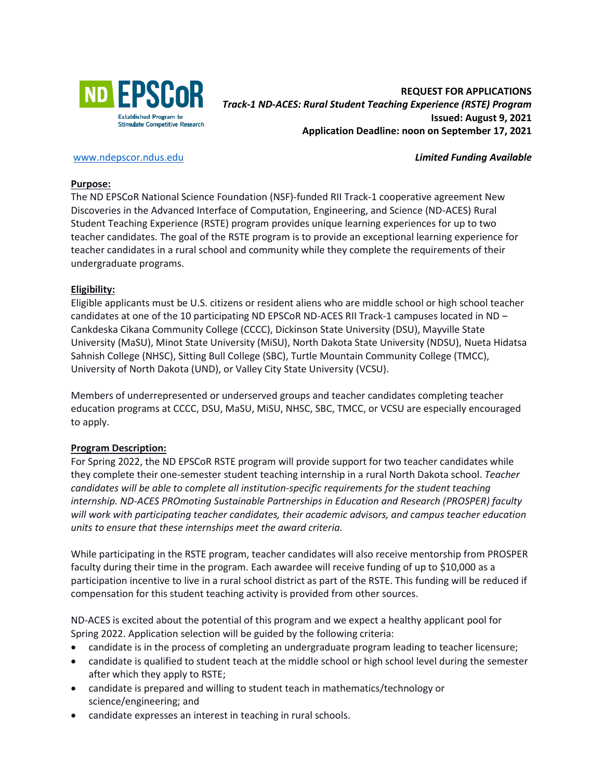

# **REQUEST FOR APPLICATIONS** *Track-1 ND-ACES: Rural Student Teaching Experience (RSTE) Program* **Issued: August 9, 2021 Application Deadline: noon on September 17, 2021**

[www.ndepscor.ndus.edu](http://www.ndepscor.ndus.edu/) *Limited Funding Available*

#### **Purpose:**

The ND EPSCoR National Science Foundation (NSF)-funded RII Track-1 cooperative agreement New Discoveries in the Advanced Interface of Computation, Engineering, and Science (ND-ACES) Rural Student Teaching Experience (RSTE) program provides unique learning experiences for up to two teacher candidates. The goal of the RSTE program is to provide an exceptional learning experience for teacher candidates in a rural school and community while they complete the requirements of their undergraduate programs.

## **Eligibility:**

Eligible applicants must be U.S. citizens or resident aliens who are middle school or high school teacher candidates at one of the 10 participating ND EPSCoR ND-ACES RII Track-1 campuses located in ND – Cankdeska Cikana Community College (CCCC), Dickinson State University (DSU), Mayville State University (MaSU), Minot State University (MiSU), North Dakota State University (NDSU), Nueta Hidatsa Sahnish College (NHSC), Sitting Bull College (SBC), Turtle Mountain Community College (TMCC), University of North Dakota (UND), or Valley City State University (VCSU).

Members of underrepresented or underserved groups and teacher candidates completing teacher education programs at CCCC, DSU, MaSU, MiSU, NHSC, SBC, TMCC, or VCSU are especially encouraged to apply.

## **Program Description:**

For Spring 2022, the ND EPSCoR RSTE program will provide support for two teacher candidates while they complete their one-semester student teaching internship in a rural North Dakota school. *Teacher candidates will be able to complete all institution-specific requirements for the student teaching internship. ND-ACES PROmoting Sustainable Partnerships in Education and Research (PROSPER) faculty will work with participating teacher candidates, their academic advisors, and campus teacher education units to ensure that these internships meet the award criteria.*

While participating in the RSTE program, teacher candidates will also receive mentorship from PROSPER faculty during their time in the program. Each awardee will receive funding of up to \$10,000 as a participation incentive to live in a rural school district as part of the RSTE. This funding will be reduced if compensation for this student teaching activity is provided from other sources.

ND-ACES is excited about the potential of this program and we expect a healthy applicant pool for Spring 2022. Application selection will be guided by the following criteria:

- candidate is in the process of completing an undergraduate program leading to teacher licensure;
- candidate is qualified to student teach at the middle school or high school level during the semester after which they apply to RSTE;
- candidate is prepared and willing to student teach in mathematics/technology or science/engineering; and
- candidate expresses an interest in teaching in rural schools.